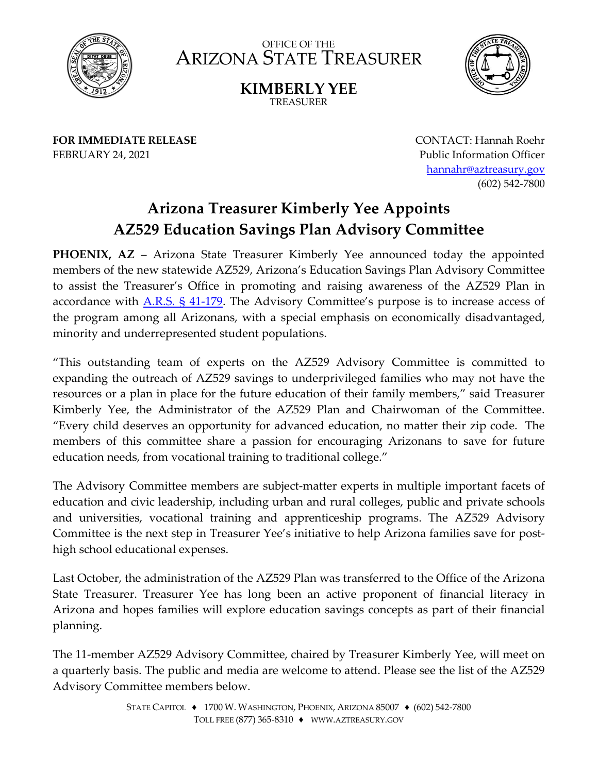

OFFICE OF THE ARIZONA STATE TREASURER



**KIMBERLY YEE** TREASURER

**FOR IMMEDIATE RELEASE** FEBRUARY 24, 2021

CONTACT: Hannah Roehr Public Information Officer [hannahr@aztreasury.gov](mailto:hannahr@aztreasury.gov) (602) 542-7800

## **Arizona Treasurer Kimberly Yee Appoints AZ529 Education Savings Plan Advisory Committee**

**PHOENIX, AZ** – Arizona State Treasurer Kimberly Yee announced today the appointed members of the new statewide AZ529, Arizona's Education Savings Plan Advisory Committee to assist the Treasurer's Office in promoting and raising awareness of the AZ529 Plan in accordance with [A.R.S. § 41-179.](https://www.azleg.gov/ars/41/00179.htm) The Advisory Committee's purpose is to increase access of the program among all Arizonans, with a special emphasis on economically disadvantaged, minority and underrepresented student populations.

"This outstanding team of experts on the AZ529 Advisory Committee is committed to expanding the outreach of AZ529 savings to underprivileged families who may not have the resources or a plan in place for the future education of their family members," said Treasurer Kimberly Yee, the Administrator of the AZ529 Plan and Chairwoman of the Committee. "Every child deserves an opportunity for advanced education, no matter their zip code. The members of this committee share a passion for encouraging Arizonans to save for future education needs, from vocational training to traditional college."

The Advisory Committee members are subject-matter experts in multiple important facets of education and civic leadership, including urban and rural colleges, public and private schools and universities, vocational training and apprenticeship programs. The AZ529 Advisory Committee is the next step in Treasurer Yee's initiative to help Arizona families save for posthigh school educational expenses.

Last October, the administration of the AZ529 Plan was transferred to the Office of the Arizona State Treasurer. Treasurer Yee has long been an active proponent of financial literacy in Arizona and hopes families will explore education savings concepts as part of their financial planning.

The 11-member AZ529 Advisory Committee, chaired by Treasurer Kimberly Yee, will meet on a quarterly basis. The public and media are welcome to attend. Please see the list of the AZ529 Advisory Committee members below.